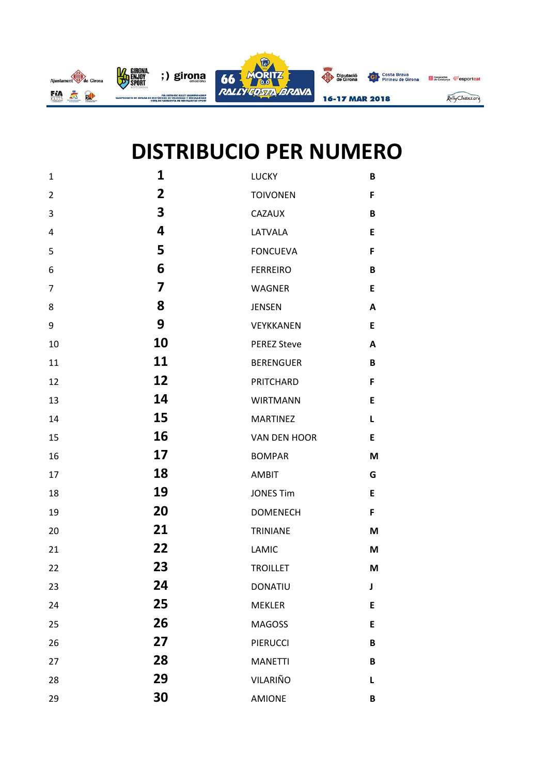

## **DISTRIBUCIO PER NUMERO**

| $\mathbf{1}$   | $\mathbf{1}$   | LUCKY              | B |
|----------------|----------------|--------------------|---|
| $\overline{2}$ | $\overline{2}$ | <b>TOIVONEN</b>    | F |
| 3              | 3              | CAZAUX             | B |
| 4              | 4              | LATVALA            | E |
| 5              | 5              | <b>FONCUEVA</b>    | F |
| 6              | 6              | <b>FERREIRO</b>    | B |
| 7              | 7              | <b>WAGNER</b>      | E |
| 8              | 8              | <b>JENSEN</b>      | A |
| 9              | 9              | VEYKKANEN          | E |
| 10             | 10             | <b>PEREZ Steve</b> | A |
| 11             | 11             | <b>BERENGUER</b>   | B |
| 12             | 12             | PRITCHARD          | F |
| 13             | 14             | <b>WIRTMANN</b>    | E |
| 14             | 15             | <b>MARTINEZ</b>    | L |
| 15             | 16             | VAN DEN HOOR       | E |
| 16             | 17             | <b>BOMPAR</b>      | M |
| 17             | 18             | <b>AMBIT</b>       | G |
| 18             | 19             | <b>JONES Tim</b>   | E |
| 19             | 20             | <b>DOMENECH</b>    | F |
| 20             | 21             | TRINIANE           | M |
| 21             | 22             | LAMIC              | M |
| 22             | 23             | <b>TROILLET</b>    | M |
| 23             | 24             | <b>DONATIU</b>     | J |
| 24             | 25             | <b>MEKLER</b>      | E |
| 25             | 26             | <b>MAGOSS</b>      | E |
| 26             | 27             | <b>PIERUCCI</b>    | B |
| 27             | 28             | <b>MANETTI</b>     | B |
| 28             | 29             | VILARIÑO           | Г |
| 29             | 30             | AMIONE             | B |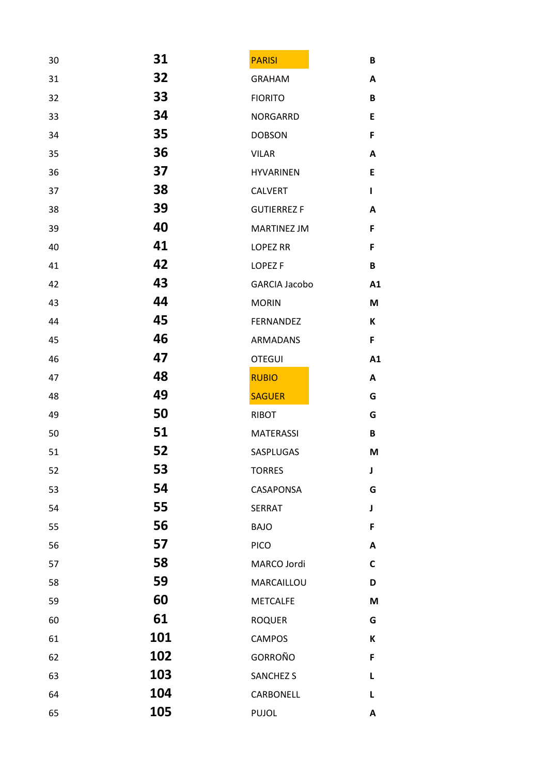| 30 | 31  | <b>PARISI</b>        | B                         |
|----|-----|----------------------|---------------------------|
| 31 | 32  | <b>GRAHAM</b>        | A                         |
| 32 | 33  | <b>FIORITO</b>       | B                         |
| 33 | 34  | NORGARRD             | E                         |
| 34 | 35  | <b>DOBSON</b>        | F                         |
| 35 | 36  | <b>VILAR</b>         | A                         |
| 36 | 37  | <b>HYVARINEN</b>     | E                         |
| 37 | 38  | <b>CALVERT</b>       | L                         |
| 38 | 39  | <b>GUTIERREZ F</b>   | $\boldsymbol{\mathsf{A}}$ |
| 39 | 40  | MARTINEZ JM          | F                         |
| 40 | 41  | <b>LOPEZ RR</b>      | F                         |
| 41 | 42  | LOPEZ <sub>F</sub>   | B                         |
| 42 | 43  | <b>GARCIA Jacobo</b> | A1                        |
| 43 | 44  | <b>MORIN</b>         | M                         |
| 44 | 45  | <b>FERNANDEZ</b>     | K                         |
| 45 | 46  | <b>ARMADANS</b>      | F                         |
| 46 | 47  | <b>OTEGUI</b>        | A1                        |
| 47 | 48  | <b>RUBIO</b>         | A                         |
| 48 | 49  | <b>SAGUER</b>        | G                         |
| 49 | 50  | <b>RIBOT</b>         | G                         |
| 50 | 51  | <b>MATERASSI</b>     | B                         |
| 51 | 52  | SASPLUGAS            | M                         |
| 52 | 53  | <b>TORRES</b>        | J                         |
| 53 | 54  | CASAPONSA            | G                         |
| 54 | 55  | <b>SERRAT</b>        | J                         |
| 55 | 56  | <b>BAJO</b>          | F                         |
| 56 | 57  | <b>PICO</b>          | A                         |
| 57 | 58  | MARCO Jordi          | $\mathsf{C}$              |
| 58 | 59  | MARCAILLOU           | D                         |
| 59 | 60  | <b>METCALFE</b>      | M                         |
| 60 | 61  | <b>ROQUER</b>        | G                         |
| 61 | 101 | <b>CAMPOS</b>        | К                         |
| 62 | 102 | GORROÑO              | F                         |
| 63 | 103 | <b>SANCHEZ S</b>     | L                         |
| 64 | 104 | CARBONELL            | L                         |
| 65 | 105 | <b>PUJOL</b>         | A                         |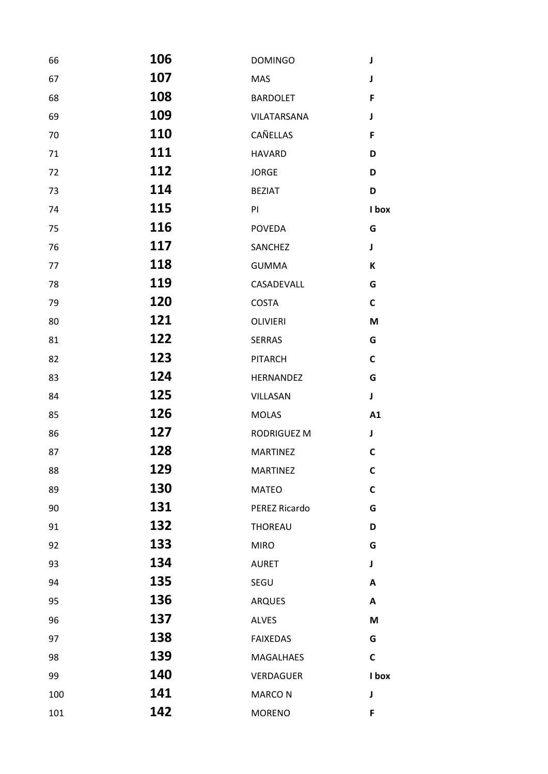| 66  | 106         | <b>DOMINGO</b>   | J            |
|-----|-------------|------------------|--------------|
| 67  | 107         | MAS              | J            |
| 68  | 108         | <b>BARDOLET</b>  | F            |
| 69  | 109         | VILATARSANA      | J            |
| 70  | 110         | CAÑELLAS         | F            |
| 71  | 111         | <b>HAVARD</b>    | D            |
| 72  | 112         | <b>JORGE</b>     | D            |
| 73  | 114         | <b>BEZIAT</b>    | D            |
| 74  | 115         | PI               | I box        |
| 75  | 116         | <b>POVEDA</b>    | G            |
| 76  | 117         | SANCHEZ          | J            |
| 77  | 118         | <b>GUMMA</b>     | К            |
| 78  | 119         | CASADEVALL       | G            |
| 79  | 120         | <b>COSTA</b>     | $\mathsf{C}$ |
| 80  | 121         | <b>OLIVIERI</b>  | M            |
| 81  | 122         | <b>SERRAS</b>    | G            |
| 82  | 123         | <b>PITARCH</b>   | $\mathsf{C}$ |
| 83  | 124         | HERNANDEZ        | G            |
| 84  | 125         | VILLASAN         | $\mathbf J$  |
| 85  | 126         | <b>MOLAS</b>     | A1           |
| 86  | 127         | RODRIGUEZ M      | J            |
| 87  | 128         | <b>MARTINEZ</b>  | $\mathsf{C}$ |
| 88  | <u> 129</u> | <b>MARTINEZ</b>  | C            |
| 89  | 130         | <b>MATEO</b>     | $\mathsf{C}$ |
| 90  | 131         | PEREZ Ricardo    | G            |
| 91  | 132         | <b>THOREAU</b>   | D            |
| 92  | 133         | <b>MIRO</b>      | G            |
| 93  | 134         | <b>AURET</b>     | J            |
| 94  | 135         | SEGU             | A            |
| 95  | 136         | <b>ARQUES</b>    | A            |
| 96  | 137         | <b>ALVES</b>     | M            |
| 97  | 138         | <b>FAIXEDAS</b>  | G            |
| 98  | 139         | MAGALHAES        | $\mathsf{C}$ |
| 99  | 140         | <b>VERDAGUER</b> | I box        |
| 100 | 141         | <b>MARCON</b>    | J            |
| 101 | 142         | <b>MORENO</b>    | F            |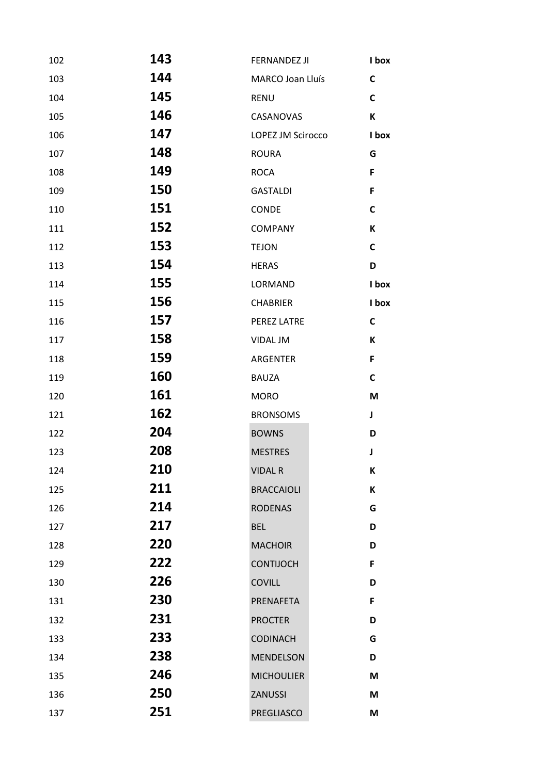| 102 | 143 | FERNANDEZ JI      | I box        |
|-----|-----|-------------------|--------------|
| 103 | 144 | MARCO Joan Lluís  | $\mathsf{C}$ |
| 104 | 145 | <b>RENU</b>       | $\mathsf{C}$ |
| 105 | 146 | CASANOVAS         | К            |
| 106 | 147 | LOPEZ JM Scirocco | I box        |
| 107 | 148 | <b>ROURA</b>      | G            |
| 108 | 149 | <b>ROCA</b>       | F            |
| 109 | 150 | <b>GASTALDI</b>   | F            |
| 110 | 151 | CONDE             | $\mathsf{C}$ |
| 111 | 152 | <b>COMPANY</b>    | К            |
| 112 | 153 | <b>TEJON</b>      | $\mathsf{C}$ |
| 113 | 154 | <b>HERAS</b>      | D            |
| 114 | 155 | LORMAND           | I box        |
| 115 | 156 | <b>CHABRIER</b>   | I box        |
| 116 | 157 | PEREZ LATRE       | $\mathsf{C}$ |
| 117 | 158 | VIDAL JM          | K            |
| 118 | 159 | <b>ARGENTER</b>   | F            |
| 119 | 160 | <b>BAUZA</b>      | $\mathsf{C}$ |
| 120 | 161 | <b>MORO</b>       | M            |
| 121 | 162 | <b>BRONSOMS</b>   | J            |
| 122 | 204 | <b>BOWNS</b>      | D            |
| 123 | 208 | <b>MESTRES</b>    | J            |
| 124 | 210 | <b>VIDAL R</b>    | К            |
| 125 | 211 | <b>BRACCAIOLI</b> | K            |
| 126 | 214 | <b>RODENAS</b>    | G            |
| 127 | 217 | <b>BEL</b>        | D            |
| 128 | 220 | <b>MACHOIR</b>    | D            |
| 129 | 222 | <b>CONTIJOCH</b>  | F            |
| 130 | 226 | <b>COVILL</b>     | D            |
| 131 | 230 | PRENAFETA         | F            |
| 132 | 231 | <b>PROCTER</b>    | D            |
| 133 | 233 | <b>CODINACH</b>   | G            |
| 134 | 238 | <b>MENDELSON</b>  | D            |
| 135 | 246 | <b>MICHOULIER</b> | M            |
| 136 | 250 | ZANUSSI           | M            |
| 137 | 251 | PREGLIASCO        | M            |